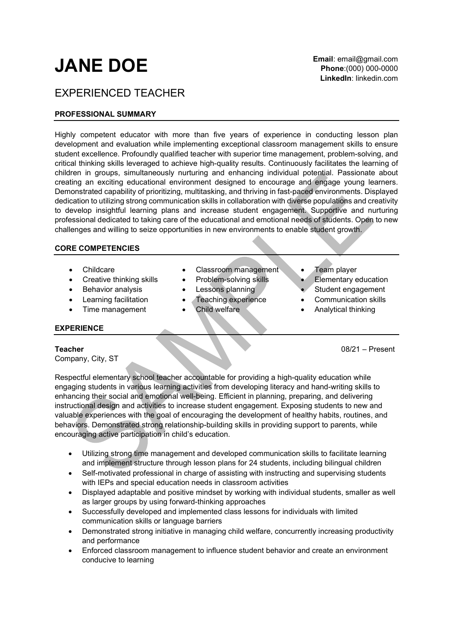# JANE DOE

## EXPERIENCED TEACHER

### PROFESSIONAL SUMMARY

Highly competent educator with more than five years of experience in conducting lesson plan development and evaluation while implementing exceptional classroom management skills to ensure student excellence. Profoundly qualified teacher with superior time management, problem-solving, and critical thinking skills leveraged to achieve high-quality results. Continuously facilitates the learning of children in groups, simultaneously nurturing and enhancing individual potential. Passionate about creating an exciting educational environment designed to encourage and engage young learners. Demonstrated capability of prioritizing, multitasking, and thriving in fast-paced environments. Displayed dedication to utilizing strong communication skills in collaboration with diverse populations and creativity to develop insightful learning plans and increase student engagement. Supportive and nurturing professional dedicated to taking care of the educational and emotional needs of students. Open to new challenges and willing to seize opportunities in new environments to enable student growth.

### CORE COMPETENCIES

- 
- Creative thinking skills Problem-solving skills Elementary education
- Behavior analysis Lessons planning Student engagement
- 
- 

### EXPERIENCE

Company, City, ST

• Childcare Classroom management Team player

- 
- 
- 
- 
- 
- 
- 
- Learning facilitation Teaching experience Communication skills
- Time management **•** Child welfare **• Analytical thinking**

Teacher 08/21 – Present

Respectful elementary school teacher accountable for providing a high-quality education while engaging students in various learning activities from developing literacy and hand-writing skills to enhancing their social and emotional well-being. Efficient in planning, preparing, and delivering instructional design and activities to increase student engagement. Exposing students to new and valuable experiences with the goal of encouraging the development of healthy habits, routines, and behaviors. Demonstrated strong relationship-building skills in providing support to parents, while encouraging active participation in child's education.

- Utilizing strong time management and developed communication skills to facilitate learning and implement structure through lesson plans for 24 students, including bilingual children
- Self-motivated professional in charge of assisting with instructing and supervising students with IEPs and special education needs in classroom activities
- Displayed adaptable and positive mindset by working with individual students, smaller as well as larger groups by using forward-thinking approaches
- Successfully developed and implemented class lessons for individuals with limited communication skills or language barriers
- Demonstrated strong initiative in managing child welfare, concurrently increasing productivity and performance
- Enforced classroom management to influence student behavior and create an environment conducive to learning